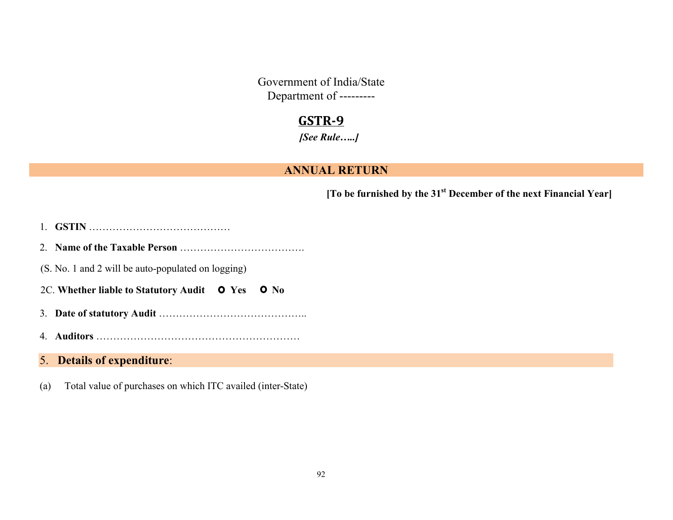Government of India/State Department of ---------

# **GSTR-9**

*[See Rule…..]*

#### **ANNUAL RETURN**

**[To be furnished by the 31st December of the next Financial Year]**

- 1. **GSTIN** ……………………………………
- 2. **Name of the Taxable Person** ……………………………….
- (S. No. 1 and 2 will be auto-populated on logging)
- 2C. Whether liable to Statutory Audit **O** Yes **O** No
- 3. **Date of statutory Audit** ……………………………………..
- 4. **Auditors** ……………………………………………………

#### 5. **Details of expenditure**:

(a) Total value of purchases on which ITC availed (inter-State)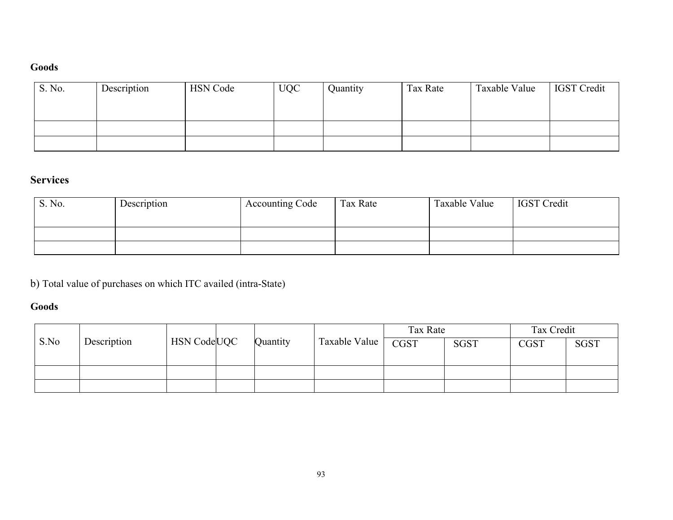## **Goods**

| S. No. | Description | <b>HSN</b> Code | <b>UQC</b> | Quantity | Tax Rate | Taxable Value | <b>IGST</b> Credit |
|--------|-------------|-----------------|------------|----------|----------|---------------|--------------------|
|        |             |                 |            |          |          |               |                    |
|        |             |                 |            |          |          |               |                    |
|        |             |                 |            |          |          |               |                    |
|        |             |                 |            |          |          |               |                    |

# **Services**

| S. No. | Description | Accounting Code | Tax Rate | Taxable Value | <b>IGST</b> Credit |
|--------|-------------|-----------------|----------|---------------|--------------------|
|        |             |                 |          |               |                    |
|        |             |                 |          |               |                    |
|        |             |                 |          |               |                    |

b) Total value of purchases on which ITC availed (intra-State)

## **Goods**

|      |             |                                |          |               | Tax Rate    |             | Tax Credit  |             |
|------|-------------|--------------------------------|----------|---------------|-------------|-------------|-------------|-------------|
| S.No | Description | <b>HSN</b> Code <sub>UQC</sub> | Quantity | Taxable Value | <b>CGST</b> | <b>SGST</b> | <b>CGST</b> | <b>SGST</b> |
|      |             |                                |          |               |             |             |             |             |
|      |             |                                |          |               |             |             |             |             |
|      |             |                                |          |               |             |             |             |             |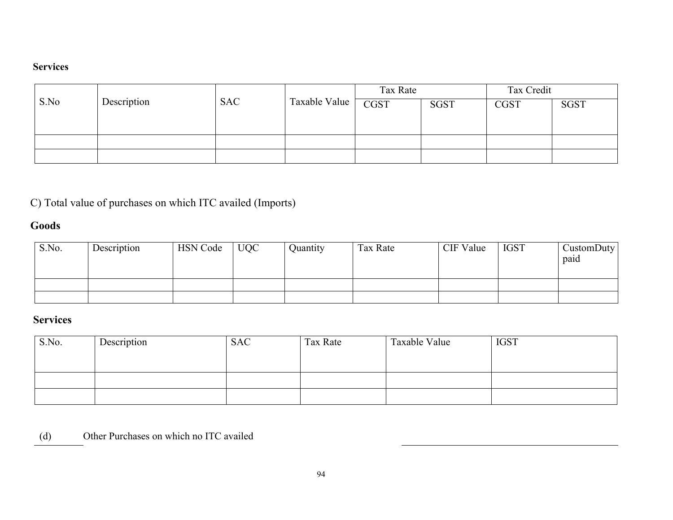#### **Services**

|      |             |            |               | Tax Rate |             | Tax Credit  |             |
|------|-------------|------------|---------------|----------|-------------|-------------|-------------|
| S.No | Description | <b>SAC</b> | Taxable Value | CGST     | <b>SGST</b> | <b>CGST</b> | <b>SGST</b> |
|      |             |            |               |          |             |             |             |
|      |             |            |               |          |             |             |             |
|      |             |            |               |          |             |             |             |
|      |             |            |               |          |             |             |             |

C) Total value of purchases on which ITC availed (Imports)

## **Goods**

| S.No. | Description | <b>HSN</b> Code | <b>UQC</b> | Quantity | Tax Rate | CIF Value | <b>IGST</b> | CustomDuty<br>paid |
|-------|-------------|-----------------|------------|----------|----------|-----------|-------------|--------------------|
|       |             |                 |            |          |          |           |             |                    |
|       |             |                 |            |          |          |           |             |                    |

# **Services**

| Description | <b>SAC</b> | Tax Rate | Taxable Value | <b>IGST</b> |
|-------------|------------|----------|---------------|-------------|
|             |            |          |               |             |
|             |            |          |               |             |
|             |            |          |               |             |
|             |            |          |               |             |
|             |            |          |               |             |

(d) Other Purchases on which no ITC availed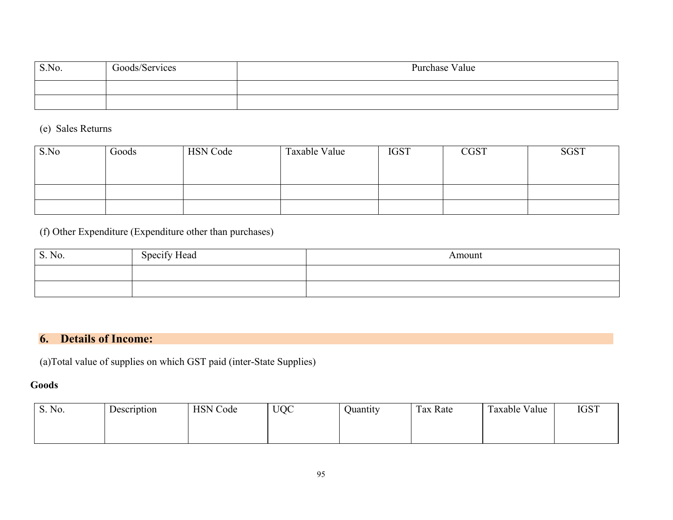| S.No. | Goods/Services | Purchase Value |
|-------|----------------|----------------|
|       |                |                |
|       |                |                |

(e) Sales Returns

| S.No | Goods | <b>HSN</b> Code | Taxable Value | <b>IGST</b> | <b>CGST</b> | <b>SGST</b> |
|------|-------|-----------------|---------------|-------------|-------------|-------------|
|      |       |                 |               |             |             |             |
|      |       |                 |               |             |             |             |
|      |       |                 |               |             |             |             |
|      |       |                 |               |             |             |             |

(f) Other Expenditure (Expenditure other than purchases)

| S. No. | Specify Head | Amount |
|--------|--------------|--------|
|        |              |        |
|        |              |        |

# **6. Details of Income:**

(a)Total value of supplies on which GST paid (inter-State Supplies)

#### **Goods**

| S. No. | Description | <b>HSN</b> Code | <b>UQC</b> | Ouantıtv | m<br>Tax Rate | Taxable Value<br>$\overline{ }$ | <b>IGST</b> |
|--------|-------------|-----------------|------------|----------|---------------|---------------------------------|-------------|
|        |             |                 |            |          |               |                                 |             |
|        |             |                 |            |          |               |                                 |             |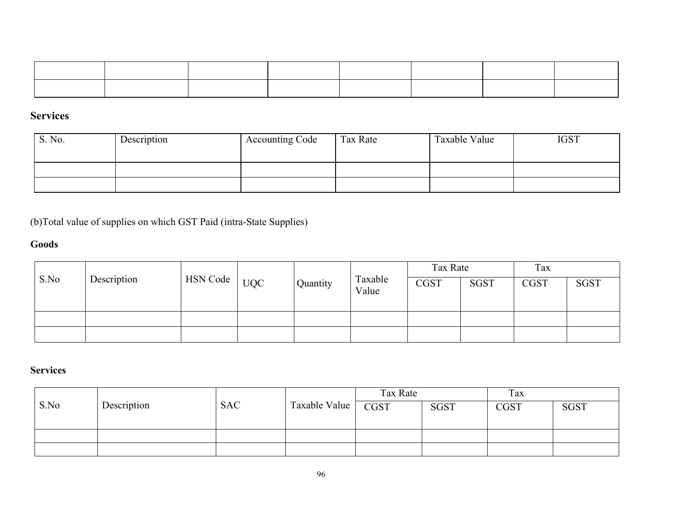## **Services**

| S. No. | Description | <b>Accounting Code</b> | Tax Rate | Taxable Value | <b>IGST</b> |
|--------|-------------|------------------------|----------|---------------|-------------|
|        |             |                        |          |               |             |
|        |             |                        |          |               |             |
|        |             |                        |          |               |             |

(b)Total value of supplies on which GST Paid (intra-State Supplies)

## **Goods**

|      |             |          |            |          | Taxable<br>Value | Tax Rate    |             | Tax         |             |
|------|-------------|----------|------------|----------|------------------|-------------|-------------|-------------|-------------|
| S.No | Description | HSN Code | <b>UQC</b> | Quantity |                  | <b>CGST</b> | <b>SGST</b> | <b>CGST</b> | <b>SGST</b> |
|      |             |          |            |          |                  |             |             |             |             |
|      |             |          |            |          |                  |             |             |             |             |

## **Services**

|      |             |            |               | Tax Rate |             | Tax         |             |
|------|-------------|------------|---------------|----------|-------------|-------------|-------------|
| S.No | Description | <b>SAC</b> | Taxable Value | CGST     | <b>SGST</b> | <b>CGST</b> | <b>SGST</b> |
|      |             |            |               |          |             |             |             |
|      |             |            |               |          |             |             |             |
|      |             |            |               |          |             |             |             |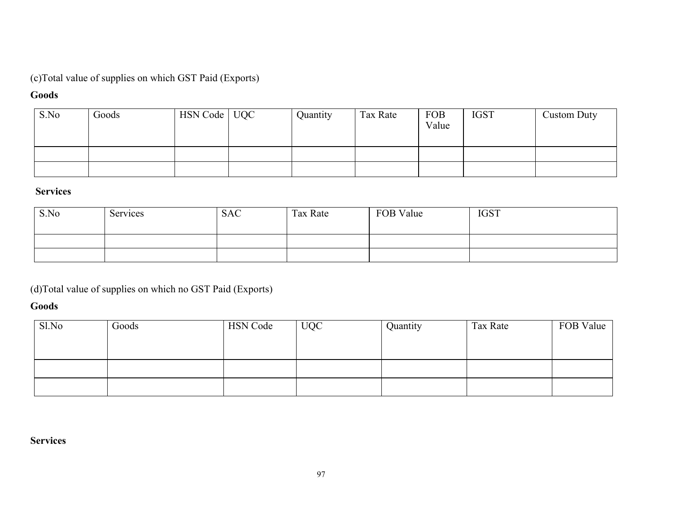## (c)Total value of supplies on which GST Paid (Exports)

#### **Goods**

| S.No | Goods | HSN Code   UQC | Quantity | Tax Rate | <b>FOB</b><br>Value | <b>IGST</b> | <b>Custom Duty</b> |
|------|-------|----------------|----------|----------|---------------------|-------------|--------------------|
|      |       |                |          |          |                     |             |                    |
|      |       |                |          |          |                     |             |                    |

#### **Services**

| S.No | Services | <b>SAC</b> | Tax Rate | FOB Value | <b>IGST</b> |
|------|----------|------------|----------|-----------|-------------|
|      |          |            |          |           |             |
|      |          |            |          |           |             |

(d)Total value of supplies on which no GST Paid (Exports)

#### **Goods**

| Sl.No | Goods | <b>HSN Code</b> | <b>UQC</b> | Quantity | Tax Rate | FOB Value |
|-------|-------|-----------------|------------|----------|----------|-----------|
|       |       |                 |            |          |          |           |
|       |       |                 |            |          |          |           |
|       |       |                 |            |          |          |           |
|       |       |                 |            |          |          |           |
|       |       |                 |            |          |          |           |

#### **Services**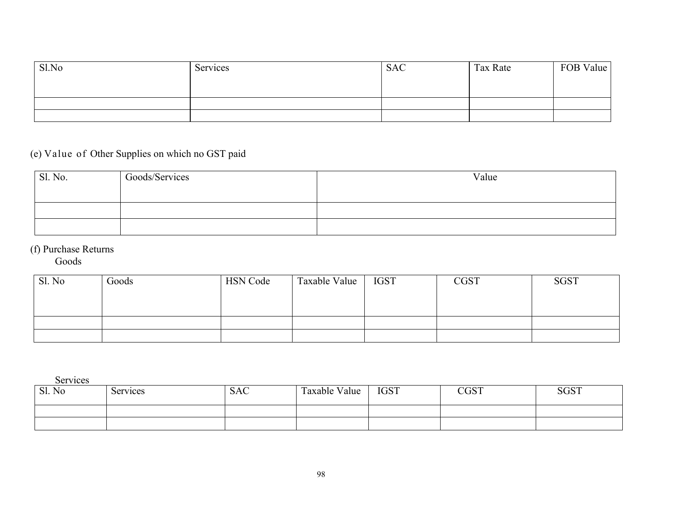| Sl.No | Services | <b>SAC</b> | Tax Rate | FOB Value |
|-------|----------|------------|----------|-----------|
|       |          |            |          |           |
|       |          |            |          |           |
|       |          |            |          |           |

# (e) Value of Other Supplies on which no GST paid

| Sl. No. | Goods/Services | Value |
|---------|----------------|-------|
|         |                |       |
|         |                |       |
|         |                |       |

## (f) Purchase Returns

Goods

| Sl. No | Goods | <b>HSN Code</b> | Taxable Value | <b>IGST</b> | <b>CGST</b> | <b>SGST</b> |
|--------|-------|-----------------|---------------|-------------|-------------|-------------|
|        |       |                 |               |             |             |             |
|        |       |                 |               |             |             |             |
|        |       |                 |               |             |             |             |
|        |       |                 |               |             |             |             |

Services

| Sl. No | Services | <b>SAC</b> | Taxable Value<br>$\sim$ | <b>IGST</b> | $\cap \cap \cap T$<br>LUJ 1 | <b>SGST</b> |
|--------|----------|------------|-------------------------|-------------|-----------------------------|-------------|
|        |          |            |                         |             |                             |             |
|        |          |            |                         |             |                             |             |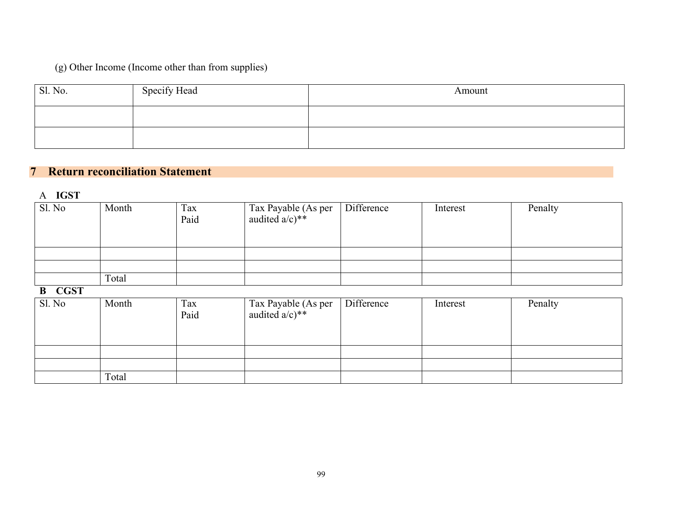# (g) Other Income (Income other than from supplies)

| Sl. No. | Specify Head | Amount |
|---------|--------------|--------|
|         |              |        |
|         |              |        |

## **7 Return reconciliation Statement**

A **IGST**

| SI. No                  | Month | Tax<br>Paid | Tax Payable (As per audited $a/c$ )** | Difference | Interest | Penalty |
|-------------------------|-------|-------------|---------------------------------------|------------|----------|---------|
|                         |       |             |                                       |            |          |         |
|                         | Total |             |                                       |            |          |         |
| <b>CGST</b><br>$\bf{B}$ |       |             |                                       |            |          |         |
| Sl. No                  | Month | Tax<br>Paid | Tax Payable (As per audited $a/c$ )** | Difference | Interest | Penalty |
|                         |       |             |                                       |            |          |         |
|                         |       |             |                                       |            |          |         |
|                         | Total |             |                                       |            |          |         |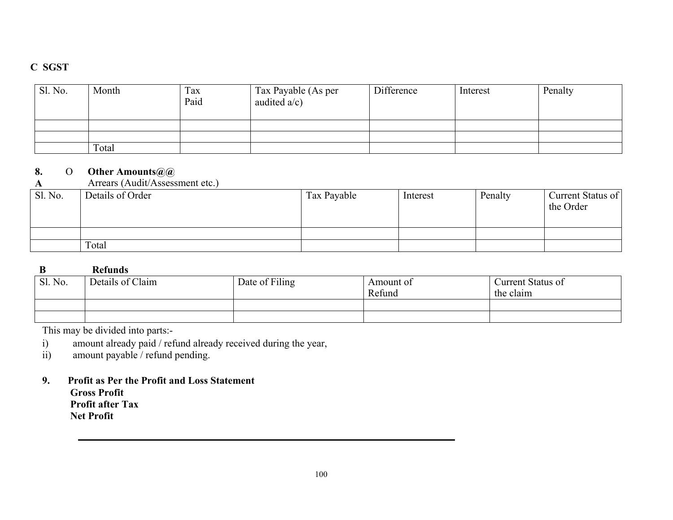### **C SGST**

| Sl. No. | Month | Tax<br>Paid | Tax Payable (As per<br>audited $a/c$ ) | Difference | Interest | Penalty |
|---------|-------|-------------|----------------------------------------|------------|----------|---------|
|         |       |             |                                        |            |          |         |
|         |       |             |                                        |            |          |         |
|         | Total |             |                                        |            |          |         |

#### **8.** O **Other Amounts@@**

|         | Arrears (Audit/Assessment etc.) |             |          |         |                                |
|---------|---------------------------------|-------------|----------|---------|--------------------------------|
| Sl. No. | Details of Order                | Tax Payable | Interest | Penalty | Current Status of<br>the Order |
|         |                                 |             |          |         |                                |
|         | Total                           |             |          |         |                                |

#### **B Refunds**

|         | --------         |                |                     |                                |  |  |  |
|---------|------------------|----------------|---------------------|--------------------------------|--|--|--|
| Sl. No. | Details of Claim | Date of Filing | Amount of<br>Refund | Current Status of<br>the claim |  |  |  |
|         |                  |                |                     |                                |  |  |  |
|         |                  |                |                     |                                |  |  |  |

This may be divided into parts:-

i) amount already paid / refund already received during the year, amount payable / refund pending.

amount payable / refund pending.

**9. Profit as Per the Profit and Loss Statement Gross Profit**

**Profit after Tax Net Profit**